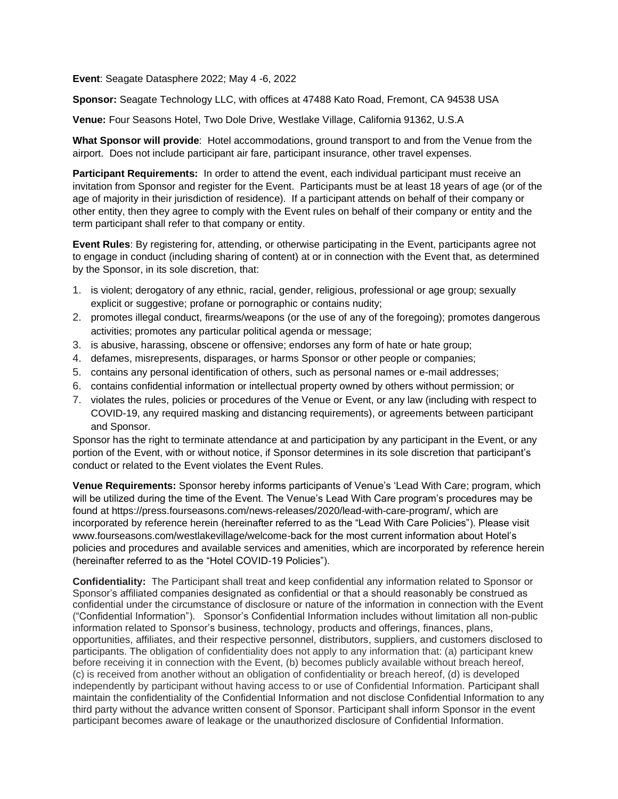**Event**: Seagate Datasphere 2022; May 4 -6, 2022

**Sponsor:** Seagate Technology LLC, with offices at 47488 Kato Road, Fremont, CA 94538 USA

**Venue:** Four Seasons Hotel, Two Dole Drive, Westlake Village, California 91362, U.S.A

**What Sponsor will provide**: Hotel accommodations, ground transport to and from the Venue from the airport. Does not include participant air fare, participant insurance, other travel expenses.

**Participant Requirements:** In order to attend the event, each individual participant must receive an invitation from Sponsor and register for the Event. Participants must be at least 18 years of age (or of the age of majority in their jurisdiction of residence). If a participant attends on behalf of their company or other entity, then they agree to comply with the Event rules on behalf of their company or entity and the term participant shall refer to that company or entity.

**Event Rules**: By registering for, attending, or otherwise participating in the Event, participants agree not to engage in conduct (including sharing of content) at or in connection with the Event that, as determined by the Sponsor, in its sole discretion, that:

- 1. is violent; derogatory of any ethnic, racial, gender, religious, professional or age group; sexually explicit or suggestive; profane or pornographic or contains nudity;
- 2. promotes illegal conduct, firearms/weapons (or the use of any of the foregoing); promotes dangerous activities; promotes any particular political agenda or message;
- 3. is abusive, harassing, obscene or offensive; endorses any form of hate or hate group;
- 4. defames, misrepresents, disparages, or harms Sponsor or other people or companies;
- 5. contains any personal identification of others, such as personal names or e-mail addresses;
- 6. contains confidential information or intellectual property owned by others without permission; or
- 7. violates the rules, policies or procedures of the Venue or Event, or any law (including with respect to COVID-19, any required masking and distancing requirements), or agreements between participant and Sponsor.

Sponsor has the right to terminate attendance at and participation by any participant in the Event, or any portion of the Event, with or without notice, if Sponsor determines in its sole discretion that participant's conduct or related to the Event violates the Event Rules.

**Venue Requirements:** Sponsor hereby informs participants of Venue's 'Lead With Care; program, which will be utilized during the time of the Event. The Venue's Lead With Care program's procedures may be found at https://press.fourseasons.com/news-releases/2020/lead-with-care-program/, which are incorporated by reference herein (hereinafter referred to as the "Lead With Care Policies"). Please visit www.fourseasons.com/westlakevillage/welcome-back for the most current information about Hotel's policies and procedures and available services and amenities, which are incorporated by reference herein (hereinafter referred to as the "Hotel COVID-19 Policies").

**Confidentiality:** The Participant shall treat and keep confidential any information related to Sponsor or Sponsor's affiliated companies designated as confidential or that a should reasonably be construed as confidential under the circumstance of disclosure or nature of the information in connection with the Event ("Confidential Information"). Sponsor's Confidential Information includes without limitation all non-public information related to Sponsor's business, technology, products and offerings, finances, plans, opportunities, affiliates, and their respective personnel, distributors, suppliers, and customers disclosed to participants. The obligation of confidentiality does not apply to any information that: (a) participant knew before receiving it in connection with the Event, (b) becomes publicly available without breach hereof, (c) is received from another without an obligation of confidentiality or breach hereof, (d) is developed independently by participant without having access to or use of Confidential Information. Participant shall maintain the confidentiality of the Confidential Information and not disclose Confidential Information to any third party without the advance written consent of Sponsor. Participant shall inform Sponsor in the event participant becomes aware of leakage or the unauthorized disclosure of Confidential Information.